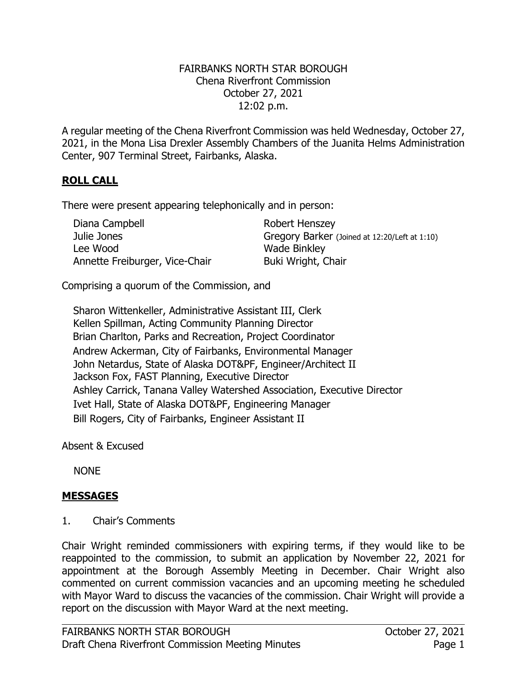#### FAIRBANKS NORTH STAR BOROUGH Chena Riverfront Commission October 27, 2021 12:02 p.m.

A regular meeting of the Chena Riverfront Commission was held Wednesday, October 27, 2021, in the Mona Lisa Drexler Assembly Chambers of the Juanita Helms Administration Center, 907 Terminal Street, Fairbanks, Alaska.

# **ROLL CALL**

There were present appearing telephonically and in person:

| Diana Campbell                 | Robert Henszey                                |
|--------------------------------|-----------------------------------------------|
| Julie Jones                    | Gregory Barker (Joined at 12:20/Left at 1:10) |
| Lee Wood                       | <b>Wade Binkley</b>                           |
| Annette Freiburger, Vice-Chair | Buki Wright, Chair                            |

Comprising a quorum of the Commission, and

Sharon Wittenkeller, Administrative Assistant III, Clerk Kellen Spillman, Acting Community Planning Director Brian Charlton, Parks and Recreation, Project Coordinator Andrew Ackerman, City of Fairbanks, Environmental Manager John Netardus, State of Alaska DOT&PF, Engineer/Architect II Jackson Fox, FAST Planning, Executive Director Ashley Carrick, Tanana Valley Watershed Association, Executive Director Ivet Hall, State of Alaska DOT&PF, Engineering Manager Bill Rogers, City of Fairbanks, Engineer Assistant II

Absent & Excused

NONE

## **MESSAGES**

1. Chair's Comments

Chair Wright reminded commissioners with expiring terms, if they would like to be reappointed to the commission, to submit an application by November 22, 2021 for appointment at the Borough Assembly Meeting in December. Chair Wright also commented on current commission vacancies and an upcoming meeting he scheduled with Mayor Ward to discuss the vacancies of the commission. Chair Wright will provide a report on the discussion with Mayor Ward at the next meeting.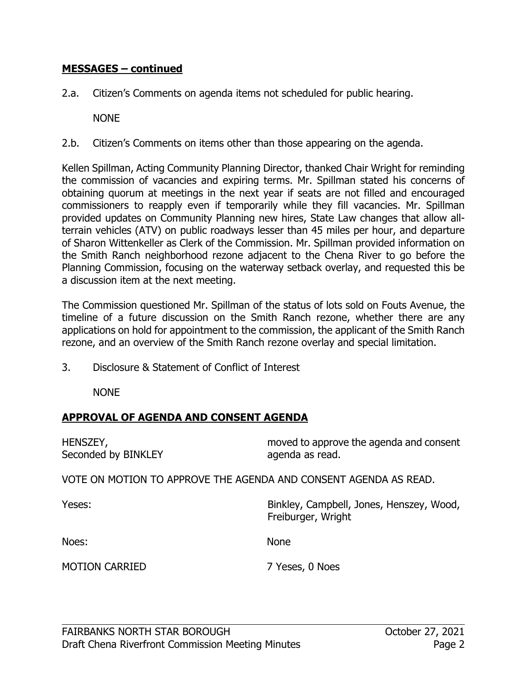#### **MESSAGES – continued**

2.a. Citizen's Comments on agenda items not scheduled for public hearing.

NONE

2.b. Citizen's Comments on items other than those appearing on the agenda.

Kellen Spillman, Acting Community Planning Director, thanked Chair Wright for reminding the commission of vacancies and expiring terms. Mr. Spillman stated his concerns of obtaining quorum at meetings in the next year if seats are not filled and encouraged commissioners to reapply even if temporarily while they fill vacancies. Mr. Spillman provided updates on Community Planning new hires, State Law changes that allow allterrain vehicles (ATV) on public roadways lesser than 45 miles per hour, and departure of Sharon Wittenkeller as Clerk of the Commission. Mr. Spillman provided information on the Smith Ranch neighborhood rezone adjacent to the Chena River to go before the Planning Commission, focusing on the waterway setback overlay, and requested this be a discussion item at the next meeting.

The Commission questioned Mr. Spillman of the status of lots sold on Fouts Avenue, the timeline of a future discussion on the Smith Ranch rezone, whether there are any applications on hold for appointment to the commission, the applicant of the Smith Ranch rezone, and an overview of the Smith Ranch rezone overlay and special limitation.

3. Disclosure & Statement of Conflict of Interest

NONE

## **APPROVAL OF AGENDA AND CONSENT AGENDA**

| HENSZEY,<br>Seconded by BINKLEY                                  | moved to approve the agenda and consent<br>agenda as read.     |
|------------------------------------------------------------------|----------------------------------------------------------------|
| VOTE ON MOTION TO APPROVE THE AGENDA AND CONSENT AGENDA AS READ. |                                                                |
| Yeses:                                                           | Binkley, Campbell, Jones, Henszey, Wood,<br>Freiburger, Wright |
| Noes:                                                            | <b>None</b>                                                    |
| <b>MOTION CARRIED</b>                                            | 7 Yeses, 0 Noes                                                |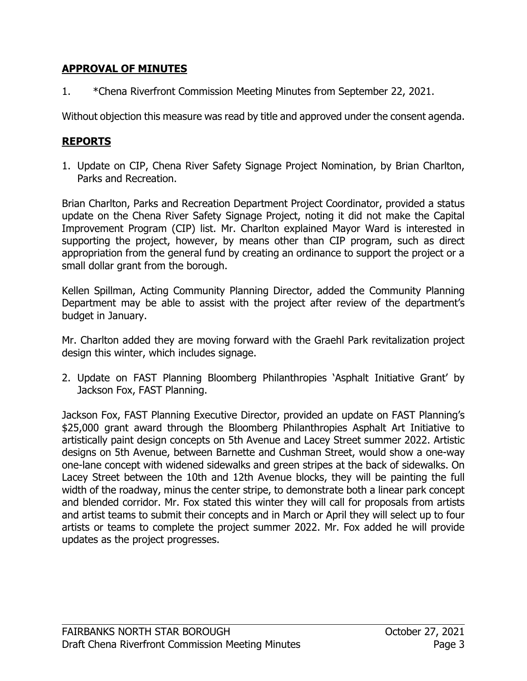## **APPROVAL OF MINUTES**

1. \*Chena Riverfront Commission Meeting Minutes from September 22, 2021.

Without objection this measure was read by title and approved under the consent agenda.

# **REPORTS**

1. Update on CIP, Chena River Safety Signage Project Nomination, by Brian Charlton, Parks and Recreation.

Brian Charlton, Parks and Recreation Department Project Coordinator, provided a status update on the Chena River Safety Signage Project, noting it did not make the Capital Improvement Program (CIP) list. Mr. Charlton explained Mayor Ward is interested in supporting the project, however, by means other than CIP program, such as direct appropriation from the general fund by creating an ordinance to support the project or a small dollar grant from the borough.

Kellen Spillman, Acting Community Planning Director, added the Community Planning Department may be able to assist with the project after review of the department's budget in January.

Mr. Charlton added they are moving forward with the Graehl Park revitalization project design this winter, which includes signage.

2. Update on FAST Planning Bloomberg Philanthropies 'Asphalt Initiative Grant' by Jackson Fox, FAST Planning.

Jackson Fox, FAST Planning Executive Director, provided an update on FAST Planning's \$25,000 grant award through the Bloomberg Philanthropies Asphalt Art Initiative to artistically paint design concepts on 5th Avenue and Lacey Street summer 2022. Artistic designs on 5th Avenue, between Barnette and Cushman Street, would show a one-way one-lane concept with widened sidewalks and green stripes at the back of sidewalks. On Lacey Street between the 10th and 12th Avenue blocks, they will be painting the full width of the roadway, minus the center stripe, to demonstrate both a linear park concept and blended corridor. Mr. Fox stated this winter they will call for proposals from artists and artist teams to submit their concepts and in March or April they will select up to four artists or teams to complete the project summer 2022. Mr. Fox added he will provide updates as the project progresses.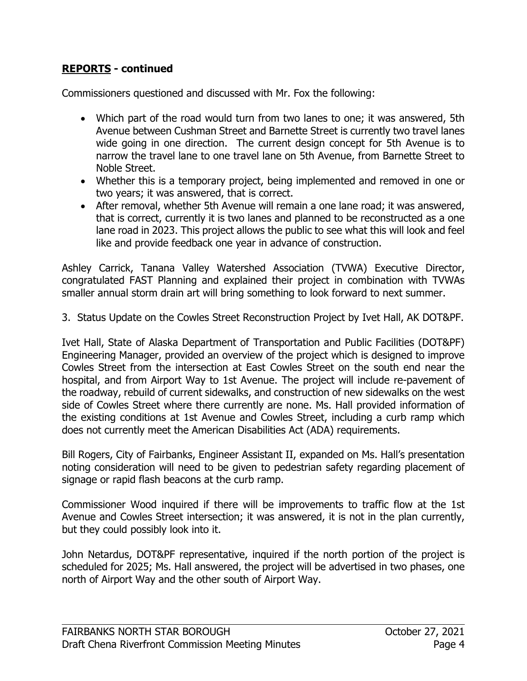# **REPORTS - continued**

Commissioners questioned and discussed with Mr. Fox the following:

- Which part of the road would turn from two lanes to one; it was answered, 5th Avenue between Cushman Street and Barnette Street is currently two travel lanes wide going in one direction. The current design concept for 5th Avenue is to narrow the travel lane to one travel lane on 5th Avenue, from Barnette Street to Noble Street.
- Whether this is a temporary project, being implemented and removed in one or two years; it was answered, that is correct.
- After removal, whether 5th Avenue will remain a one lane road; it was answered, that is correct, currently it is two lanes and planned to be reconstructed as a one lane road in 2023. This project allows the public to see what this will look and feel like and provide feedback one year in advance of construction.

Ashley Carrick, Tanana Valley Watershed Association (TVWA) Executive Director, congratulated FAST Planning and explained their project in combination with TVWAs smaller annual storm drain art will bring something to look forward to next summer.

3. Status Update on the Cowles Street Reconstruction Project by Ivet Hall, AK DOT&PF.

Ivet Hall, State of Alaska Department of Transportation and Public Facilities (DOT&PF) Engineering Manager, provided an overview of the project which is designed to improve Cowles Street from the intersection at East Cowles Street on the south end near the hospital, and from Airport Way to 1st Avenue. The project will include re-pavement of the roadway, rebuild of current sidewalks, and construction of new sidewalks on the west side of Cowles Street where there currently are none. Ms. Hall provided information of the existing conditions at 1st Avenue and Cowles Street, including a curb ramp which does not currently meet the American Disabilities Act (ADA) requirements.

Bill Rogers, City of Fairbanks, Engineer Assistant II, expanded on Ms. Hall's presentation noting consideration will need to be given to pedestrian safety regarding placement of signage or rapid flash beacons at the curb ramp.

Commissioner Wood inquired if there will be improvements to traffic flow at the 1st Avenue and Cowles Street intersection; it was answered, it is not in the plan currently, but they could possibly look into it.

John Netardus, DOT&PF representative, inquired if the north portion of the project is scheduled for 2025; Ms. Hall answered, the project will be advertised in two phases, one north of Airport Way and the other south of Airport Way.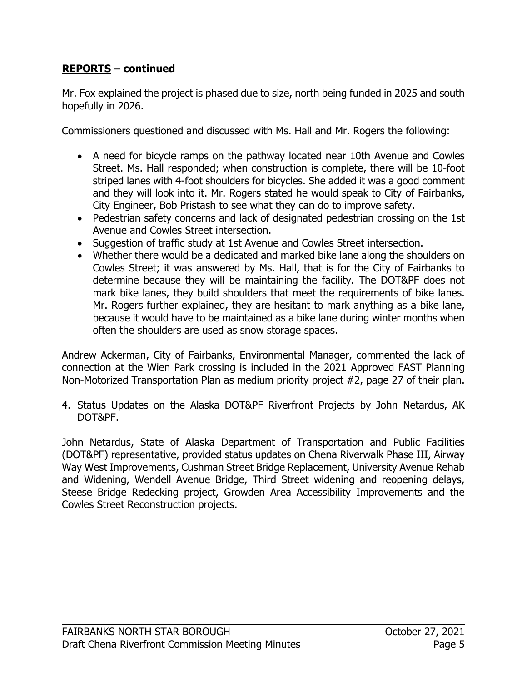# **REPORTS – continued**

Mr. Fox explained the project is phased due to size, north being funded in 2025 and south hopefully in 2026.

Commissioners questioned and discussed with Ms. Hall and Mr. Rogers the following:

- A need for bicycle ramps on the pathway located near 10th Avenue and Cowles Street. Ms. Hall responded; when construction is complete, there will be 10-foot striped lanes with 4-foot shoulders for bicycles. She added it was a good comment and they will look into it. Mr. Rogers stated he would speak to City of Fairbanks, City Engineer, Bob Pristash to see what they can do to improve safety.
- Pedestrian safety concerns and lack of designated pedestrian crossing on the 1st Avenue and Cowles Street intersection.
- Suggestion of traffic study at 1st Avenue and Cowles Street intersection.
- Whether there would be a dedicated and marked bike lane along the shoulders on Cowles Street; it was answered by Ms. Hall, that is for the City of Fairbanks to determine because they will be maintaining the facility. The DOT&PF does not mark bike lanes, they build shoulders that meet the requirements of bike lanes. Mr. Rogers further explained, they are hesitant to mark anything as a bike lane, because it would have to be maintained as a bike lane during winter months when often the shoulders are used as snow storage spaces.

Andrew Ackerman, City of Fairbanks, Environmental Manager, commented the lack of connection at the Wien Park crossing is included in the 2021 Approved FAST Planning Non-Motorized Transportation Plan as medium priority project #2, page 27 of their plan.

4. Status Updates on the Alaska DOT&PF Riverfront Projects by John Netardus, AK DOT&PF.

John Netardus, State of Alaska Department of Transportation and Public Facilities (DOT&PF) representative, provided status updates on Chena Riverwalk Phase III, Airway Way West Improvements, Cushman Street Bridge Replacement, University Avenue Rehab and Widening, Wendell Avenue Bridge, Third Street widening and reopening delays, Steese Bridge Redecking project, Growden Area Accessibility Improvements and the Cowles Street Reconstruction projects.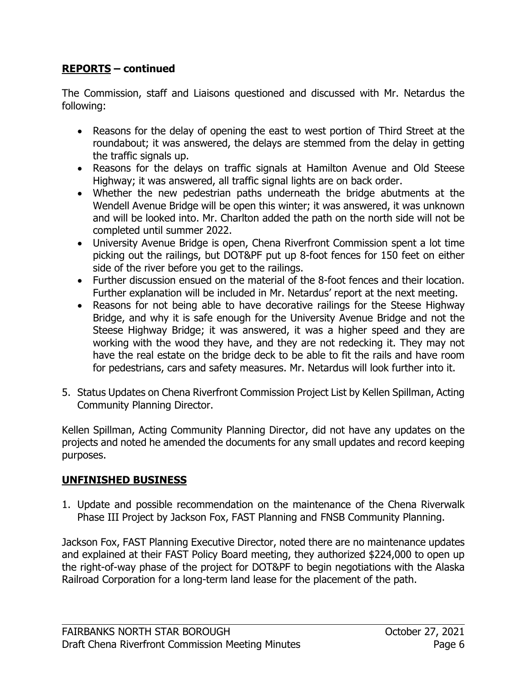# **REPORTS – continued**

The Commission, staff and Liaisons questioned and discussed with Mr. Netardus the following:

- Reasons for the delay of opening the east to west portion of Third Street at the roundabout; it was answered, the delays are stemmed from the delay in getting the traffic signals up.
- Reasons for the delays on traffic signals at Hamilton Avenue and Old Steese Highway; it was answered, all traffic signal lights are on back order.
- Whether the new pedestrian paths underneath the bridge abutments at the Wendell Avenue Bridge will be open this winter; it was answered, it was unknown and will be looked into. Mr. Charlton added the path on the north side will not be completed until summer 2022.
- University Avenue Bridge is open, Chena Riverfront Commission spent a lot time picking out the railings, but DOT&PF put up 8-foot fences for 150 feet on either side of the river before you get to the railings.
- Further discussion ensued on the material of the 8-foot fences and their location. Further explanation will be included in Mr. Netardus' report at the next meeting.
- Reasons for not being able to have decorative railings for the Steese Highway Bridge, and why it is safe enough for the University Avenue Bridge and not the Steese Highway Bridge; it was answered, it was a higher speed and they are working with the wood they have, and they are not redecking it. They may not have the real estate on the bridge deck to be able to fit the rails and have room for pedestrians, cars and safety measures. Mr. Netardus will look further into it.
- 5. Status Updates on Chena Riverfront Commission Project List by Kellen Spillman, Acting Community Planning Director.

Kellen Spillman, Acting Community Planning Director, did not have any updates on the projects and noted he amended the documents for any small updates and record keeping purposes.

# **UNFINISHED BUSINESS**

1. Update and possible recommendation on the maintenance of the Chena Riverwalk Phase III Project by Jackson Fox, FAST Planning and FNSB Community Planning.

Jackson Fox, FAST Planning Executive Director, noted there are no maintenance updates and explained at their FAST Policy Board meeting, they authorized \$224,000 to open up the right-of-way phase of the project for DOT&PF to begin negotiations with the Alaska Railroad Corporation for a long-term land lease for the placement of the path.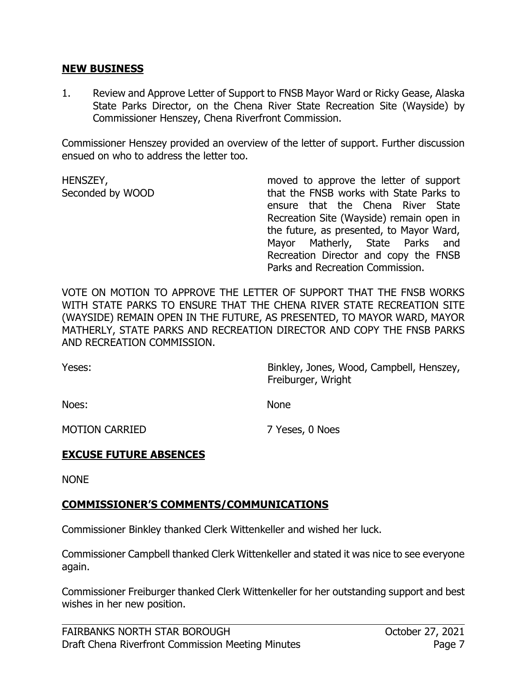#### **NEW BUSINESS**

1. Review and Approve Letter of Support to FNSB Mayor Ward or Ricky Gease, Alaska State Parks Director, on the Chena River State Recreation Site (Wayside) by Commissioner Henszey, Chena Riverfront Commission.

Commissioner Henszey provided an overview of the letter of support. Further discussion ensued on who to address the letter too.

HENSZEY, Seconded by WOOD moved to approve the letter of support that the FNSB works with State Parks to ensure that the Chena River State Recreation Site (Wayside) remain open in the future, as presented, to Mayor Ward, Mayor Matherly, State Parks and Recreation Director and copy the FNSB Parks and Recreation Commission.

VOTE ON MOTION TO APPROVE THE LETTER OF SUPPORT THAT THE FNSB WORKS WITH STATE PARKS TO ENSURE THAT THE CHENA RIVER STATE RECREATION SITE (WAYSIDE) REMAIN OPEN IN THE FUTURE, AS PRESENTED, TO MAYOR WARD, MAYOR MATHERLY, STATE PARKS AND RECREATION DIRECTOR AND COPY THE FNSB PARKS AND RECREATION COMMISSION.

Yeses:

Binkley, Jones, Wood, Campbell, Henszey, Freiburger, Wright

Noes:

None

MOTION CARRIED

7 Yeses, 0 Noes

## **EXCUSE FUTURE ABSENCES**

NONE

## **COMMISSIONER'S COMMENTS/COMMUNICATIONS**

Commissioner Binkley thanked Clerk Wittenkeller and wished her luck.

Commissioner Campbell thanked Clerk Wittenkeller and stated it was nice to see everyone again.

Commissioner Freiburger thanked Clerk Wittenkeller for her outstanding support and best wishes in her new position.